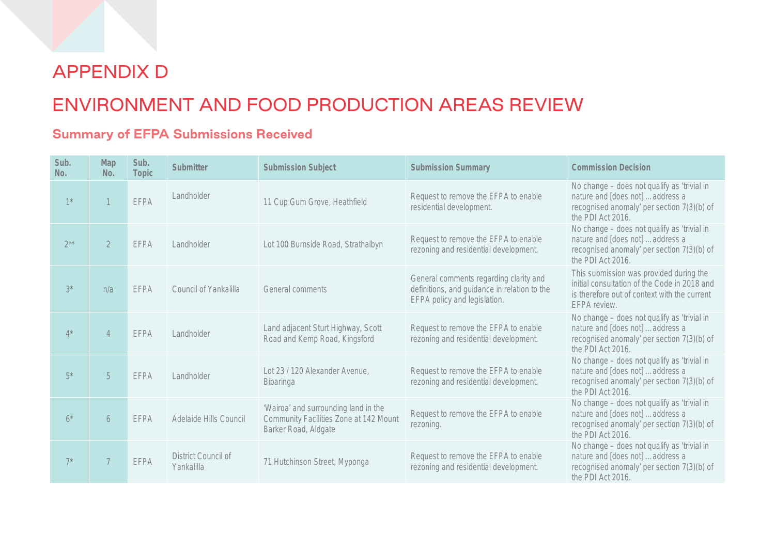## FAIL UR OAIA ENVIRONMENT AND FOOD PRODUCTION AREAS REVIEW

## Summary of EFPA Submissions Received **Summary of EFPA Submissions Received**

| Sub.<br>No. | <b>Map</b><br>No. | Sub.<br><b>Topic</b> | Submitter                                | <b>Submission Subject</b>                                                                              | <b>Submission Summary</b>                                                                                              | <b>Commission Decision</b>                                                                                                                              |
|-------------|-------------------|----------------------|------------------------------------------|--------------------------------------------------------------------------------------------------------|------------------------------------------------------------------------------------------------------------------------|---------------------------------------------------------------------------------------------------------------------------------------------------------|
| $1^*$       |                   | EFPA                 | Landholder                               | 11 Cup Gum Grove, Heathfield                                                                           | Request to remove the EFPA to enable<br>residential development.                                                       | No change - does not qualify as 'trivial in<br>nature and [does not] address a<br>recognised anomaly' per section 7(3)(b) of<br>the PDI Act 2016.       |
| $2^{**}$    | $\overline{2}$    | <b>EFPA</b>          | Landholder                               | Lot 100 Burnside Road, Strathalbyn                                                                     | Request to remove the EFPA to enable<br>rezoning and residential development.                                          | No change - does not qualify as 'trivial in<br>nature and [does not] address a<br>recognised anomaly' per section 7(3)(b) of<br>the PDI Act 2016.       |
| $3^*$       | n/a               | FFPA                 | Council of Yankalilla                    | General comments                                                                                       | General comments regarding clarity and<br>definitions, and guidance in relation to the<br>EFPA policy and legislation. | This submission was provided during the<br>initial consultation of the Code in 2018 and<br>is therefore out of context with the current<br>EFPA review. |
| $4^*$       | $\overline{4}$    | FFPA                 | Landholder                               | Land adjacent Sturt Highway, Scott<br>Road and Kemp Road, Kingsford                                    | Request to remove the EFPA to enable<br>rezoning and residential development.                                          | No change - does not qualify as 'trivial in<br>nature and [does not] address a<br>recognised anomaly' per section 7(3)(b) of<br>the PDI Act 2016.       |
| $5^*$       | 5                 | <b>EFPA</b>          | Landholder                               | Lot 23 / 120 Alexander Avenue,<br>Bibaringa                                                            | Request to remove the EFPA to enable<br>rezoning and residential development.                                          | No change - does not qualify as 'trivial in<br>nature and [does not] address a<br>recognised anomaly' per section 7(3)(b) of<br>the PDI Act 2016.       |
| $6^*$       | 6                 | <b>EFPA</b>          | Adelaide Hills Council                   | 'Wairoa' and surrounding land in the<br>Community Facilities Zone at 142 Mount<br>Barker Road, Aldgate | Request to remove the EFPA to enable<br>rezoning.                                                                      | No change - does not qualify as 'trivial in<br>nature and [does not] address a<br>recognised anomaly' per section 7(3)(b) of<br>the PDI Act 2016.       |
| $7^*$       |                   | EFPA                 | <b>District Council of</b><br>Yankalilla | 71 Hutchinson Street, Myponga                                                                          | Request to remove the EFPA to enable<br>rezoning and residential development.                                          | No change - does not qualify as 'trivial in<br>nature and [does not] address a<br>recognised anomaly' per section 7(3)(b) of<br>the PDI Act 2016.       |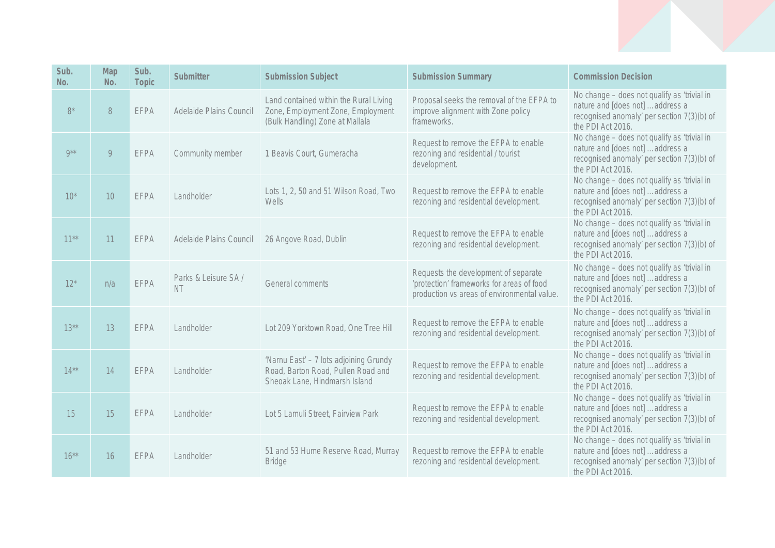| Sub.<br>No. | Map<br>No. | Sub.<br><b>Topic</b> | Submitter                         | <b>Submission Subject</b>                                                                                      | <b>Submission Summary</b>                                                                                                        | <b>Commission Decision</b>                                                                                                                        |
|-------------|------------|----------------------|-----------------------------------|----------------------------------------------------------------------------------------------------------------|----------------------------------------------------------------------------------------------------------------------------------|---------------------------------------------------------------------------------------------------------------------------------------------------|
| $8*$        | $8\,$      | EFPA                 | Adelaide Plains Council           | Land contained within the Rural Living<br>Zone, Employment Zone, Employment<br>(Bulk Handling) Zone at Mallala | Proposal seeks the removal of the EFPA to<br>improve alignment with Zone policy<br>frameworks.                                   | No change - does not qualify as 'trivial in<br>nature and [does not] address a<br>recognised anomaly' per section 7(3)(b) of<br>the PDI Act 2016. |
| $9***$      | 9          | EFPA                 | Community member                  | 1 Beavis Court, Gumeracha                                                                                      | Request to remove the EFPA to enable<br>rezoning and residential / tourist<br>development.                                       | No change - does not qualify as 'trivial in<br>nature and [does not] address a<br>recognised anomaly' per section 7(3)(b) of<br>the PDI Act 2016. |
| $10*$       | 10         | <b>EFPA</b>          | Landholder                        | Lots 1, 2, 50 and 51 Wilson Road, Two<br>Wells                                                                 | Request to remove the EFPA to enable<br>rezoning and residential development.                                                    | No change - does not qualify as 'trivial in<br>nature and [does not] address a<br>recognised anomaly' per section 7(3)(b) of<br>the PDI Act 2016. |
| $11***$     | 11         | EFPA                 | Adelaide Plains Council           | 26 Angove Road, Dublin                                                                                         | Request to remove the EFPA to enable<br>rezoning and residential development.                                                    | No change - does not qualify as 'trivial in<br>nature and [does not] address a<br>recognised anomaly' per section 7(3)(b) of<br>the PDI Act 2016. |
| $12*$       | n/a        | EFPA                 | Parks & Leisure SA /<br><b>NT</b> | General comments                                                                                               | Requests the development of separate<br>'protection' frameworks for areas of food<br>production vs areas of environmental value. | No change - does not qualify as 'trivial in<br>nature and [does not] address a<br>recognised anomaly' per section 7(3)(b) of<br>the PDI Act 2016. |
| $13***$     | 13         | EFPA                 | Landholder                        | Lot 209 Yorktown Road, One Tree Hill                                                                           | Request to remove the EFPA to enable<br>rezoning and residential development.                                                    | No change - does not qualify as 'trivial in<br>nature and [does not] address a<br>recognised anomaly' per section 7(3)(b) of<br>the PDI Act 2016. |
| $14***$     | 14         | EFPA                 | Landholder                        | 'Narnu East' - 7 lots adjoining Grundy<br>Road, Barton Road, Pullen Road and<br>Sheoak Lane, Hindmarsh Island  | Request to remove the EFPA to enable<br>rezoning and residential development.                                                    | No change - does not qualify as 'trivial in<br>nature and [does not] address a<br>recognised anomaly' per section 7(3)(b) of<br>the PDI Act 2016. |
| 15          | 15         | <b>EFPA</b>          | Landholder                        | Lot 5 Lamuli Street, Fairview Park                                                                             | Request to remove the EFPA to enable<br>rezoning and residential development.                                                    | No change - does not qualify as 'trivial in<br>nature and [does not] address a<br>recognised anomaly' per section 7(3)(b) of<br>the PDI Act 2016. |
| $16***$     | 16         | EFPA                 | Landholder                        | 51 and 53 Hume Reserve Road, Murray<br><b>Bridge</b>                                                           | Request to remove the EFPA to enable<br>rezoning and residential development.                                                    | No change - does not qualify as 'trivial in<br>nature and [does not] address a<br>recognised anomaly' per section 7(3)(b) of<br>the PDI Act 2016. |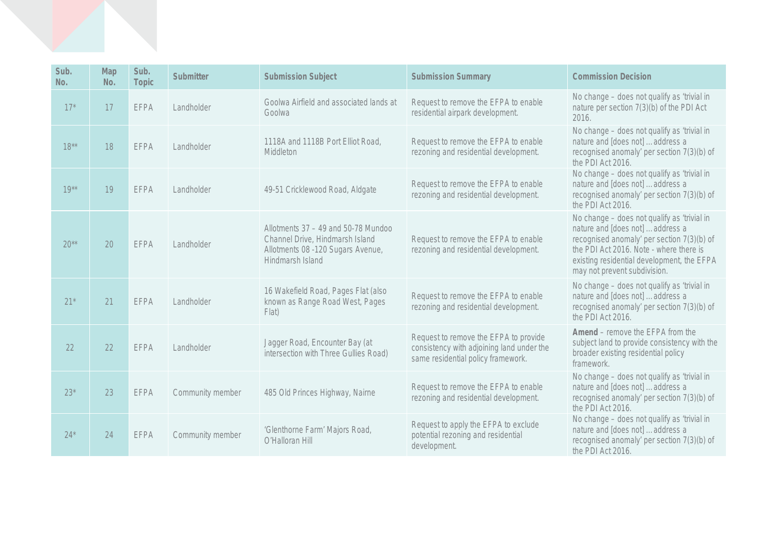| Sub.<br>No. | Map<br>No. | Sub.<br><b>Topic</b> | Submitter        | <b>Submission Subject</b>                                                                                                       | <b>Submission Summary</b>                                                                                                | <b>Commission Decision</b>                                                                                                                                                                                                                            |
|-------------|------------|----------------------|------------------|---------------------------------------------------------------------------------------------------------------------------------|--------------------------------------------------------------------------------------------------------------------------|-------------------------------------------------------------------------------------------------------------------------------------------------------------------------------------------------------------------------------------------------------|
| $17*$       | 17         | EFPA                 | Landholder       | Goolwa Airfield and associated lands at<br>Goolwa                                                                               | Request to remove the EFPA to enable<br>residential airpark development.                                                 | No change - does not qualify as 'trivial in<br>nature per section 7(3)(b) of the PDI Act<br>2016.                                                                                                                                                     |
| $18***$     | 18         | <b>EFPA</b>          | Landholder       | 1118A and 1118B Port Elliot Road,<br>Middleton                                                                                  | Request to remove the EFPA to enable<br>rezoning and residential development.                                            | No change - does not qualify as 'trivial in<br>nature and [does not] address a<br>recognised anomaly' per section 7(3)(b) of<br>the PDI Act 2016.                                                                                                     |
| $19***$     | 19         | EFPA                 | Landholder       | 49-51 Cricklewood Road, Aldgate                                                                                                 | Request to remove the EFPA to enable<br>rezoning and residential development.                                            | No change - does not qualify as 'trivial in<br>nature and [does not] address a<br>recognised anomaly' per section 7(3)(b) of<br>the PDI Act 2016.                                                                                                     |
| $20**$      | 20         | EFPA                 | Landholder       | Allotments 37 - 49 and 50-78 Mundoo<br>Channel Drive, Hindmarsh Island<br>Allotments 08 -120 Sugars Avenue,<br>Hindmarsh Island | Request to remove the EFPA to enable<br>rezoning and residential development.                                            | No change - does not qualify as 'trivial in<br>nature and [does not] address a<br>recognised anomaly' per section 7(3)(b) of<br>the PDI Act 2016. Note - where there is<br>existing residential development, the EFPA<br>may not prevent subdivision. |
| $21*$       | 21         | EFPA                 | Landholder       | 16 Wakefield Road, Pages Flat (also<br>known as Range Road West, Pages<br>Flat)                                                 | Request to remove the EFPA to enable<br>rezoning and residential development.                                            | No change - does not qualify as 'trivial in<br>nature and [does not] address a<br>recognised anomaly' per section 7(3)(b) of<br>the PDI Act 2016.                                                                                                     |
| 22          | 22         | EFPA                 | Landholder       | Jagger Road, Encounter Bay (at<br>intersection with Three Gullies Road)                                                         | Request to remove the EFPA to provide<br>consistency with adjoining land under the<br>same residential policy framework. | Amend – remove the EFPA from the<br>subject land to provide consistency with the<br>broader existing residential policy<br>framework.                                                                                                                 |
| $23*$       | 23         | EFPA                 | Community member | 485 Old Princes Highway, Nairne                                                                                                 | Request to remove the EFPA to enable<br>rezoning and residential development.                                            | No change - does not qualify as 'trivial in<br>nature and [does not] address a<br>recognised anomaly' per section 7(3)(b) of<br>the PDI Act 2016.                                                                                                     |
| $24*$       | 24         | <b>EFPA</b>          | Community member | 'Glenthorne Farm' Majors Road,<br>O'Halloran Hill                                                                               | Request to apply the EFPA to exclude<br>potential rezoning and residential<br>development.                               | No change - does not qualify as 'trivial in<br>nature and [does not] address a<br>recognised anomaly' per section 7(3)(b) of<br>the PDI Act 2016.                                                                                                     |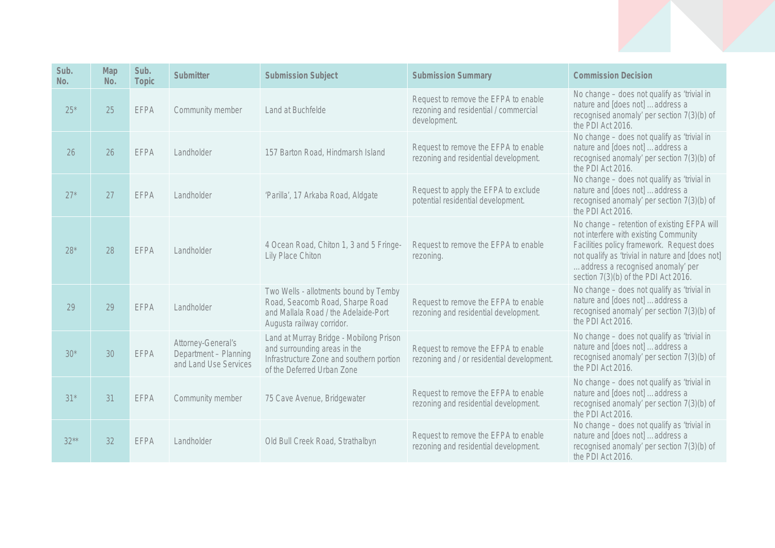| Sub.<br>No. | Map<br>No. | Sub.<br><b>Topic</b> | Submitter                                                            | <b>Submission Subject</b>                                                                                                                         | <b>Submission Summary</b>                                                                     | <b>Commission Decision</b>                                                                                                                                                                                                                                         |
|-------------|------------|----------------------|----------------------------------------------------------------------|---------------------------------------------------------------------------------------------------------------------------------------------------|-----------------------------------------------------------------------------------------------|--------------------------------------------------------------------------------------------------------------------------------------------------------------------------------------------------------------------------------------------------------------------|
| $25*$       | 25         | EFPA                 | Community member                                                     | Land at Buchfelde                                                                                                                                 | Request to remove the EFPA to enable<br>rezoning and residential / commercial<br>development. | No change - does not qualify as 'trivial in<br>nature and [does not] address a<br>recognised anomaly' per section 7(3)(b) of<br>the PDI Act 2016.                                                                                                                  |
| 26          | 26         | <b>EFPA</b>          | Landholder                                                           | 157 Barton Road, Hindmarsh Island                                                                                                                 | Request to remove the EFPA to enable<br>rezoning and residential development.                 | No change - does not qualify as 'trivial in<br>nature and [does not] address a<br>recognised anomaly' per section 7(3)(b) of<br>the PDI Act 2016.                                                                                                                  |
| $27*$       | 27         | EFPA                 | Landholder                                                           | 'Parilla', 17 Arkaba Road, Aldgate                                                                                                                | Request to apply the EFPA to exclude<br>potential residential development.                    | No change - does not qualify as 'trivial in<br>nature and [does not] address a<br>recognised anomaly' per section 7(3)(b) of<br>the PDI Act 2016.                                                                                                                  |
| $28*$       | 28         | EFPA                 | Landholder                                                           | 4 Ocean Road, Chiton 1, 3 and 5 Fringe-<br>Lily Place Chiton                                                                                      | Request to remove the EFPA to enable<br>rezoning.                                             | No change - retention of existing EFPA will<br>not interfere with existing Community<br>Facilities policy framework. Request does<br>not qualify as 'trivial in nature and [does not]<br>address a recognised anomaly' per<br>section 7(3)(b) of the PDI Act 2016. |
| 29          | 29         | EFPA                 | Landholder                                                           | Two Wells - allotments bound by Temby<br>Road, Seacomb Road, Sharpe Road<br>and Mallala Road / the Adelaide-Port<br>Augusta railway corridor.     | Request to remove the EFPA to enable<br>rezoning and residential development.                 | No change - does not qualify as 'trivial in<br>nature and [does not] address a<br>recognised anomaly' per section 7(3)(b) of<br>the PDI Act 2016.                                                                                                                  |
| $30*$       | 30         | EFPA                 | Attorney-General's<br>Department - Planning<br>and Land Use Services | Land at Murray Bridge - Mobilong Prison<br>and surrounding areas in the<br>Infrastructure Zone and southern portion<br>of the Deferred Urban Zone | Request to remove the EFPA to enable<br>rezoning and / or residential development.            | No change - does not qualify as 'trivial in<br>nature and [does not] address a<br>recognised anomaly' per section 7(3)(b) of<br>the PDI Act 2016.                                                                                                                  |
| $31*$       | 31         | EFPA                 | Community member                                                     | 75 Cave Avenue, Bridgewater                                                                                                                       | Request to remove the EFPA to enable<br>rezoning and residential development.                 | No change - does not qualify as 'trivial in<br>nature and [does not] address a<br>recognised anomaly' per section 7(3)(b) of<br>the PDI Act 2016.                                                                                                                  |
| $32**$      | 32         | FFPA                 | Landholder                                                           | Old Bull Creek Road, Strathalbyn                                                                                                                  | Request to remove the EFPA to enable<br>rezoning and residential development.                 | No change - does not qualify as 'trivial in<br>nature and [does not] address a<br>recognised anomaly' per section 7(3)(b) of<br>the PDI Act 2016.                                                                                                                  |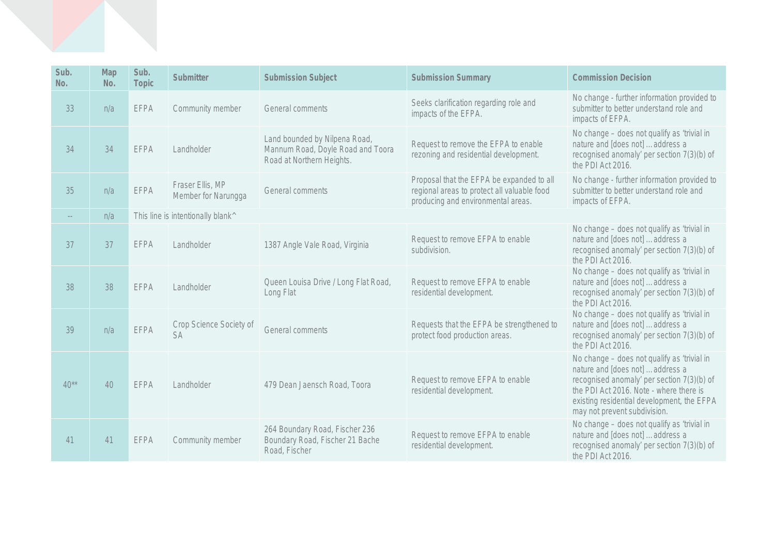| Sub.<br>No.   | Map<br>No. | Sub.<br><b>Topic</b> | Submitter                               | <b>Submission Subject</b>                                                                      | <b>Submission Summary</b>                                                                                                      | <b>Commission Decision</b>                                                                                                                                                                                                                            |
|---------------|------------|----------------------|-----------------------------------------|------------------------------------------------------------------------------------------------|--------------------------------------------------------------------------------------------------------------------------------|-------------------------------------------------------------------------------------------------------------------------------------------------------------------------------------------------------------------------------------------------------|
| 33            | n/a        | EFPA                 | Community member                        | General comments                                                                               | Seeks clarification regarding role and<br>impacts of the EFPA.                                                                 | No change - further information provided to<br>submitter to better understand role and<br>impacts of EFPA.                                                                                                                                            |
| 34            | 34         | <b>EFPA</b>          | Landholder                              | Land bounded by Nilpena Road<br>Mannum Road, Doyle Road and Toora<br>Road at Northern Heights. | Request to remove the EFPA to enable<br>rezoning and residential development.                                                  | No change - does not qualify as 'trivial in<br>nature and [does not] address a<br>recognised anomaly' per section 7(3)(b) of<br>the PDI Act 2016.                                                                                                     |
| 35            | n/a        | EFPA                 | Fraser Ellis, MP<br>Member for Narungga | <b>General comments</b>                                                                        | Proposal that the EFPA be expanded to all<br>regional areas to protect all valuable food<br>producing and environmental areas. | No change - further information provided to<br>submitter to better understand role and<br>impacts of EFPA.                                                                                                                                            |
| $\sim$ $\sim$ | n/a        |                      | This line is intentionally blank^       |                                                                                                |                                                                                                                                |                                                                                                                                                                                                                                                       |
| 37            | 37         | EFPA                 | Landholder                              | 1387 Angle Vale Road, Virginia                                                                 | Request to remove EFPA to enable<br>subdivision.                                                                               | No change - does not qualify as 'trivial in<br>nature and [does not] address a<br>recognised anomaly' per section 7(3)(b) of<br>the PDI Act 2016.                                                                                                     |
| 38            | 38         | EFPA                 | Landholder                              | Queen Louisa Drive / Long Flat Road,<br>Long Flat                                              | Request to remove EFPA to enable<br>residential development.                                                                   | No change - does not qualify as 'trivial in<br>nature and [does not] address a<br>recognised anomaly' per section 7(3)(b) of<br>the PDI Act 2016.                                                                                                     |
| 39            | n/a        | EFPA                 | Crop Science Society of<br><b>SA</b>    | General comments                                                                               | Requests that the EFPA be strengthened to<br>protect food production areas.                                                    | No change - does not qualify as 'trivial in<br>nature and [does not] address a<br>recognised anomaly' per section 7(3)(b) of<br>the PDI Act 2016.                                                                                                     |
| $40**$        | 40         | EFPA                 | Landholder                              | 479 Dean Jaensch Road, Toora                                                                   | Request to remove EFPA to enable<br>residential development.                                                                   | No change - does not qualify as 'trivial in<br>nature and [does not] address a<br>recognised anomaly' per section 7(3)(b) of<br>the PDI Act 2016. Note - where there is<br>existing residential development, the EFPA<br>may not prevent subdivision. |
| 41            | 41         | EFPA                 | Community member                        | 264 Boundary Road, Fischer 236<br>Boundary Road, Fischer 21 Bache<br>Road, Fischer             | Request to remove EFPA to enable<br>residential development.                                                                   | No change - does not qualify as 'trivial in<br>nature and [does not] address a<br>recognised anomaly' per section 7(3)(b) of<br>the PDI Act 2016.                                                                                                     |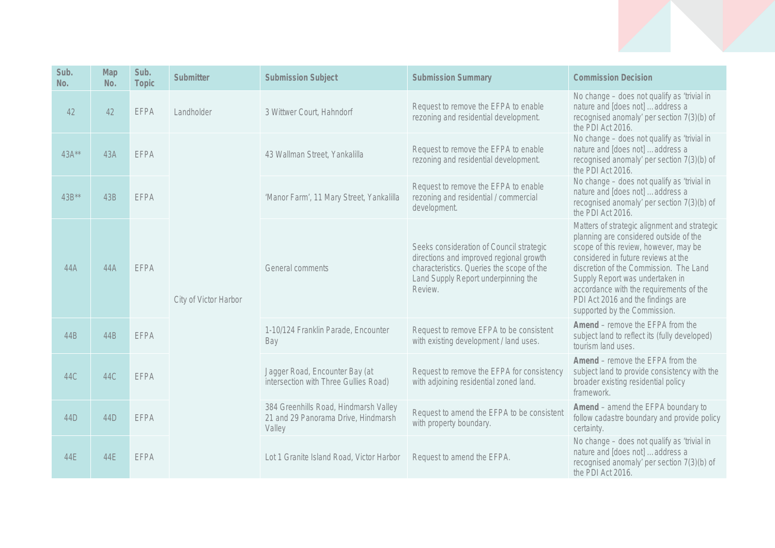| Sub.<br>No. | Map<br>No. | Sub.<br><b>Topic</b> | Submitter             | <b>Submission Subject</b>                                                              | <b>Submission Summary</b>                                                                                                                                                          | <b>Commission Decision</b>                                                                                                                                                                                                                                                                                                                                          |
|-------------|------------|----------------------|-----------------------|----------------------------------------------------------------------------------------|------------------------------------------------------------------------------------------------------------------------------------------------------------------------------------|---------------------------------------------------------------------------------------------------------------------------------------------------------------------------------------------------------------------------------------------------------------------------------------------------------------------------------------------------------------------|
| 42          | 42         | EFPA                 | Landholder            | 3 Wittwer Court, Hahndorf                                                              | Request to remove the EFPA to enable<br>rezoning and residential development.                                                                                                      | No change - does not qualify as 'trivial in<br>nature and [does not] address a<br>recognised anomaly' per section 7(3)(b) of<br>the PDI Act 2016.                                                                                                                                                                                                                   |
| $43A^{**}$  | 43A        | EFPA                 |                       | 43 Wallman Street, Yankalilla                                                          | Request to remove the EFPA to enable<br>rezoning and residential development.                                                                                                      | No change - does not qualify as 'trivial in<br>nature and [does not] address a<br>recognised anomaly' per section 7(3)(b) of<br>the PDI Act 2016.                                                                                                                                                                                                                   |
| 43B**       | 43B        | EFPA                 | City of Victor Harbor | 'Manor Farm', 11 Mary Street, Yankalilla                                               | Request to remove the EFPA to enable<br>rezoning and residential / commercial<br>development.                                                                                      | No change - does not qualify as 'trivial in<br>nature and [does not] address a<br>recognised anomaly' per section 7(3)(b) of<br>the PDI Act 2016.                                                                                                                                                                                                                   |
| 44A         | 44A        | EFPA                 |                       | General comments                                                                       | Seeks consideration of Council strategic<br>directions and improved regional growth<br>characteristics. Queries the scope of the<br>Land Supply Report underpinning the<br>Review. | Matters of strategic alignment and strategic<br>planning are considered outside of the<br>scope of this review, however, may be<br>considered in future reviews at the<br>discretion of the Commission. The Land<br>Supply Report was undertaken in<br>accordance with the requirements of the<br>PDI Act 2016 and the findings are<br>supported by the Commission. |
| 44B         | 44B        | EFPA                 |                       | 1-10/124 Franklin Parade, Encounter<br>Bay                                             | Request to remove EFPA to be consistent<br>with existing development / land uses.                                                                                                  | Amend - remove the EFPA from the<br>subject land to reflect its (fully developed)<br>tourism land uses.                                                                                                                                                                                                                                                             |
| 44C         | 44C        | EFPA                 |                       | Jagger Road, Encounter Bay (at<br>intersection with Three Gullies Road)                | Request to remove the EFPA for consistency<br>with adjoining residential zoned land.                                                                                               | Amend - remove the EFPA from the<br>subject land to provide consistency with the<br>broader existing residential policy<br>framework.                                                                                                                                                                                                                               |
| 44D         | 44D        | EFPA                 |                       | 384 Greenhills Road, Hindmarsh Valley<br>21 and 29 Panorama Drive, Hindmarsh<br>Valley | Request to amend the EFPA to be consistent<br>with property boundary.                                                                                                              | Amend - amend the EFPA boundary to<br>follow cadastre boundary and provide policy<br>certainty.                                                                                                                                                                                                                                                                     |
| 44E         | 44E        | EFPA                 |                       | Lot 1 Granite Island Road, Victor Harbor                                               | Request to amend the EFPA.                                                                                                                                                         | No change - does not qualify as 'trivial in<br>nature and [does not] address a<br>recognised anomaly' per section 7(3)(b) of<br>the PDI Act 2016.                                                                                                                                                                                                                   |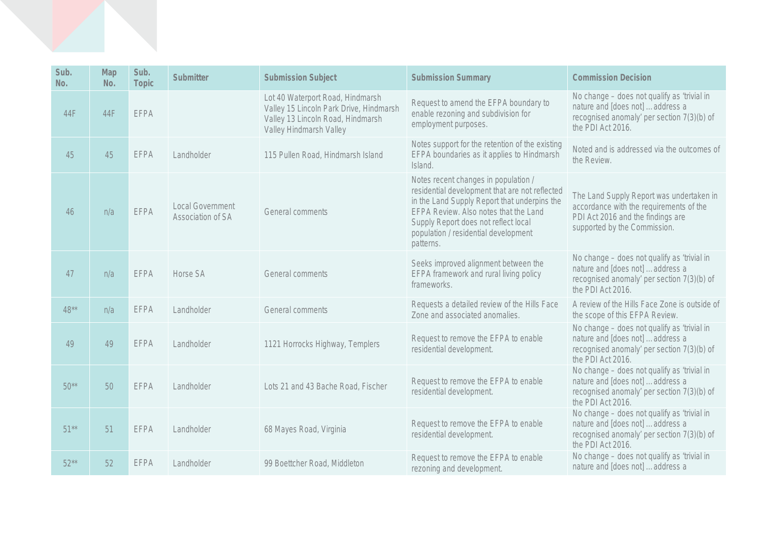| Sub.<br>No. | Map<br>No. | Sub.<br><b>Topic</b> | Submitter                                    | <b>Submission Subject</b>                                                                                                                   | <b>Submission Summary</b>                                                                                                                                                                                                                                                    | <b>Commission Decision</b>                                                                                                                               |
|-------------|------------|----------------------|----------------------------------------------|---------------------------------------------------------------------------------------------------------------------------------------------|------------------------------------------------------------------------------------------------------------------------------------------------------------------------------------------------------------------------------------------------------------------------------|----------------------------------------------------------------------------------------------------------------------------------------------------------|
| 44F         | 44F        | EFPA                 |                                              | Lot 40 Waterport Road, Hindmarsh<br>Valley 15 Lincoln Park Drive, Hindmarsh<br>Valley 13 Lincoln Road, Hindmarsh<br>Valley Hindmarsh Valley | Request to amend the EFPA boundary to<br>enable rezoning and subdivision for<br>employment purposes.                                                                                                                                                                         | No change - does not qualify as 'trivial in<br>nature and [does not] address a<br>recognised anomaly' per section 7(3)(b) of<br>the PDI Act 2016.        |
| 45          | 45         | EFPA                 | Landholder                                   | 115 Pullen Road, Hindmarsh Island                                                                                                           | Notes support for the retention of the existing<br>EFPA boundaries as it applies to Hindmarsh<br>Island.                                                                                                                                                                     | Noted and is addressed via the outcomes of<br>the Review.                                                                                                |
| 46          | n/a        | EFPA                 | <b>Local Government</b><br>Association of SA | General comments                                                                                                                            | Notes recent changes in population /<br>residential development that are not reflected<br>in the Land Supply Report that underpins the<br>EFPA Review. Also notes that the Land<br>Supply Report does not reflect local<br>population / residential development<br>patterns. | The Land Supply Report was undertaken in<br>accordance with the requirements of the<br>PDI Act 2016 and the findings are<br>supported by the Commission. |
| 47          | n/a        | EFPA                 | Horse SA                                     | General comments                                                                                                                            | Seeks improved alignment between the<br>EFPA framework and rural living policy<br>frameworks.                                                                                                                                                                                | No change - does not qualify as 'trivial in<br>nature and [does not] address a<br>recognised anomaly' per section 7(3)(b) of<br>the PDI Act 2016.        |
| $48***$     | n/a        | EFPA                 | Landholder                                   | General comments                                                                                                                            | Requests a detailed review of the Hills Face<br>Zone and associated anomalies.                                                                                                                                                                                               | A review of the Hills Face Zone is outside of<br>the scope of this EFPA Review.                                                                          |
| 49          | 49         | EFPA                 | Landholder                                   | 1121 Horrocks Highway, Templers                                                                                                             | Request to remove the EFPA to enable<br>residential development.                                                                                                                                                                                                             | No change - does not qualify as 'trivial in<br>nature and [does not] address a<br>recognised anomaly' per section 7(3)(b) of<br>the PDI Act 2016.        |
| $50**$      | 50         | EFPA                 | Landholder                                   | Lots 21 and 43 Bache Road, Fischer                                                                                                          | Request to remove the EFPA to enable<br>residential development.                                                                                                                                                                                                             | No change - does not qualify as 'trivial in<br>nature and [does not] address a<br>recognised anomaly' per section 7(3)(b) of<br>the PDI Act 2016.        |
| $51***$     | 51         | EFPA                 | Landholder                                   | 68 Mayes Road, Virginia                                                                                                                     | Request to remove the EFPA to enable<br>residential development.                                                                                                                                                                                                             | No change - does not qualify as 'trivial in<br>nature and [does not] address a<br>recognised anomaly' per section 7(3)(b) of<br>the PDI Act 2016.        |
| $52**$      | 52         | EFPA                 | Landholder                                   | 99 Boettcher Road, Middleton                                                                                                                | Request to remove the EFPA to enable<br>rezoning and development.                                                                                                                                                                                                            | No change - does not qualify as 'trivial in<br>nature and [does not] address a                                                                           |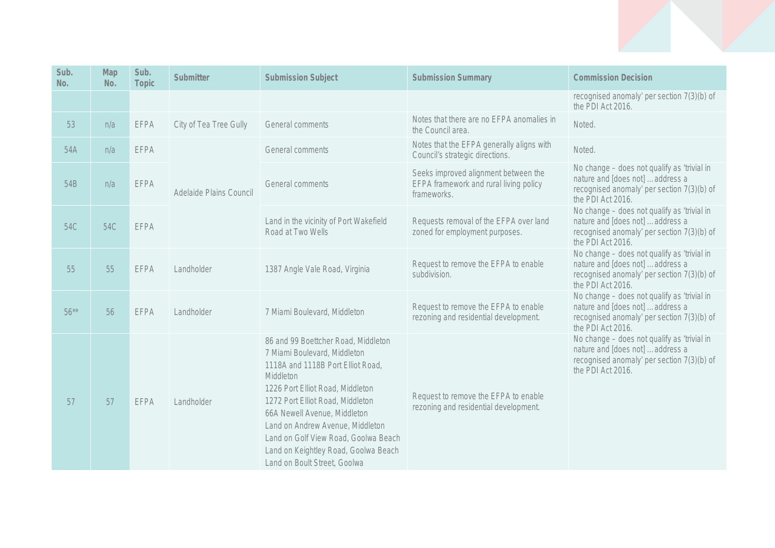| Sub.<br>No. | Map<br>No. | Sub.<br><b>Topic</b> | Submitter               | <b>Submission Subject</b>                                                                                                                                                                                                                                                                                                                                                         | <b>Submission Summary</b>                                                                     | <b>Commission Decision</b>                                                                                                                        |
|-------------|------------|----------------------|-------------------------|-----------------------------------------------------------------------------------------------------------------------------------------------------------------------------------------------------------------------------------------------------------------------------------------------------------------------------------------------------------------------------------|-----------------------------------------------------------------------------------------------|---------------------------------------------------------------------------------------------------------------------------------------------------|
|             |            |                      |                         |                                                                                                                                                                                                                                                                                                                                                                                   |                                                                                               | recognised anomaly' per section 7(3)(b) of<br>the PDI Act 2016.                                                                                   |
| 53          | n/a        | EFPA                 | City of Tea Tree Gully  | General comments                                                                                                                                                                                                                                                                                                                                                                  | Notes that there are no EFPA anomalies in<br>the Council area.                                | Noted.                                                                                                                                            |
| 54A         | n/a        | EFPA                 |                         | General comments                                                                                                                                                                                                                                                                                                                                                                  | Notes that the EFPA generally aligns with<br>Council's strategic directions.                  | Noted.                                                                                                                                            |
| 54B         | n/a        | EFPA                 | Adelaide Plains Council | General comments                                                                                                                                                                                                                                                                                                                                                                  | Seeks improved alignment between the<br>EFPA framework and rural living policy<br>frameworks. | No change – does not qualify as 'trivial in<br>nature and [does not] address a<br>recognised anomaly' per section 7(3)(b) of<br>the PDI Act 2016. |
| 54C         | 54C        | EFPA                 |                         | Land in the vicinity of Port Wakefield<br>Road at Two Wells                                                                                                                                                                                                                                                                                                                       | Requests removal of the EFPA over land<br>zoned for employment purposes.                      | No change - does not qualify as 'trivial in<br>nature and [does not] address a<br>recognised anomaly' per section 7(3)(b) of<br>the PDI Act 2016. |
| 55          | 55         | EFPA                 | Landholder              | 1387 Angle Vale Road, Virginia                                                                                                                                                                                                                                                                                                                                                    | Request to remove the EFPA to enable<br>subdivision.                                          | No change - does not qualify as 'trivial in<br>nature and [does not] address a<br>recognised anomaly' per section 7(3)(b) of<br>the PDI Act 2016. |
| $56***$     | 56         | EFPA                 | Landholder              | 7 Miami Boulevard, Middleton                                                                                                                                                                                                                                                                                                                                                      | Request to remove the EFPA to enable<br>rezoning and residential development.                 | No change - does not qualify as 'trivial in<br>nature and [does not] address a<br>recognised anomaly' per section 7(3)(b) of<br>the PDI Act 2016. |
| 57          | 57         | EFPA                 | Landholder              | 86 and 99 Boettcher Road, Middleton<br>7 Miami Boulevard, Middleton<br>1118A and 1118B Port Elliot Road,<br>Middleton<br>1226 Port Elliot Road, Middleton<br>1272 Port Elliot Road, Middleton<br>66A Newell Avenue, Middleton<br>Land on Andrew Avenue, Middleton<br>Land on Golf View Road, Goolwa Beach<br>Land on Keightley Road, Goolwa Beach<br>Land on Boult Street, Goolwa | Request to remove the EFPA to enable<br>rezoning and residential development.                 | No change - does not qualify as 'trivial in<br>nature and [does not] address a<br>recognised anomaly' per section 7(3)(b) of<br>the PDI Act 2016. |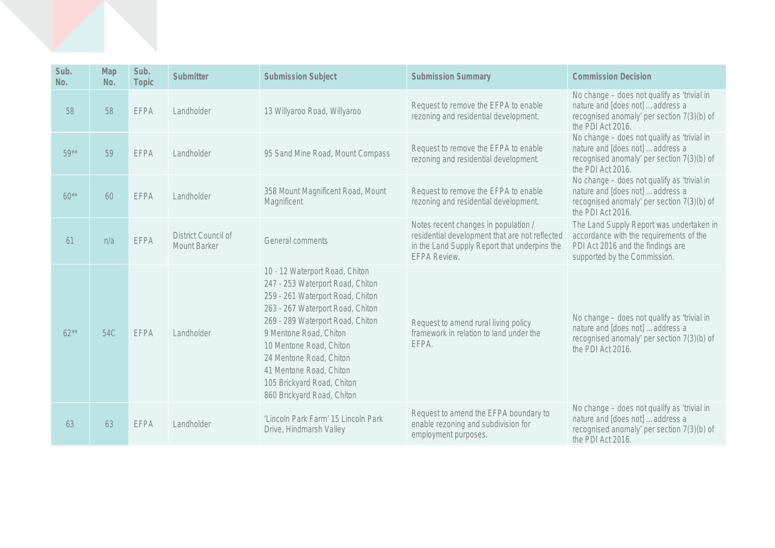| Sub.<br>No. | Map<br>No. | Sub.<br><b>Topic</b> | Submitter                                         | <b>Submission Subject</b>                                                                                                                                                                                                                                                                                                                             | <b>Submission Summary</b>                                                                                                                                     | <b>Commission Decision</b>                                                                                                                               |
|-------------|------------|----------------------|---------------------------------------------------|-------------------------------------------------------------------------------------------------------------------------------------------------------------------------------------------------------------------------------------------------------------------------------------------------------------------------------------------------------|---------------------------------------------------------------------------------------------------------------------------------------------------------------|----------------------------------------------------------------------------------------------------------------------------------------------------------|
| 58          | 58         | EFPA                 | Landholder                                        | 13 Willyaroo Road, Willyaroo                                                                                                                                                                                                                                                                                                                          | Request to remove the EFPA to enable<br>rezoning and residential development.                                                                                 | No change - does not qualify as 'trivial in<br>nature and [does not] address a<br>recognised anomaly' per section 7(3)(b) of<br>the PDI Act 2016.        |
| $59***$     | 59         | EFPA                 | Landholder                                        | 95 Sand Mine Road, Mount Compass                                                                                                                                                                                                                                                                                                                      | Request to remove the EFPA to enable<br>rezoning and residential development.                                                                                 | No change - does not qualify as 'trivial in<br>nature and [does not] address a<br>recognised anomaly' per section 7(3)(b) of<br>the PDI Act 2016.        |
| $60**$      | 60         | EFPA                 | Landholder                                        | 358 Mount Magnificent Road, Mount<br>Magnificent                                                                                                                                                                                                                                                                                                      | Request to remove the EFPA to enable<br>rezoning and residential development.                                                                                 | No change - does not qualify as 'trivial in<br>nature and [does not] address a<br>recognised anomaly' per section 7(3)(b) of<br>the PDI Act 2016.        |
| 61          | n/a        | EFPA                 | <b>District Council of</b><br><b>Mount Barker</b> | <b>General comments</b>                                                                                                                                                                                                                                                                                                                               | Notes recent changes in population /<br>residential development that are not reflected<br>in the Land Supply Report that underpins the<br><b>EFPA Review.</b> | The Land Supply Report was undertaken in<br>accordance with the requirements of the<br>PDI Act 2016 and the findings are<br>supported by the Commission. |
| $62***$     | 54C        | EFPA                 | Landholder                                        | 10 - 12 Waterport Road, Chiton<br>247 - 253 Waterport Road, Chiton<br>259 - 261 Waterport Road, Chiton<br>263 - 267 Waterport Road, Chiton<br>269 - 289 Waterport Road, Chiton<br>9 Mentone Road, Chiton<br>10 Mentone Road, Chiton<br>24 Mentone Road, Chiton<br>41 Mentone Road, Chiton<br>105 Brickyard Road, Chiton<br>860 Brickyard Road, Chiton | Request to amend rural living policy<br>framework in relation to land under the<br>EFPA.                                                                      | No change - does not qualify as 'trivial in<br>nature and [does not] address a<br>recognised anomaly' per section 7(3)(b) of<br>the PDI Act 2016.        |
| 63          | 63         | EFPA                 | Landholder                                        | 'Lincoln Park Farm' 15 Lincoln Park<br>Drive, Hindmarsh Valley                                                                                                                                                                                                                                                                                        | Request to amend the EFPA boundary to<br>enable rezoning and subdivision for<br>employment purposes.                                                          | No change - does not qualify as 'trivial in<br>nature and [does not] address a<br>recognised anomaly' per section 7(3)(b) of<br>the PDI Act 2016.        |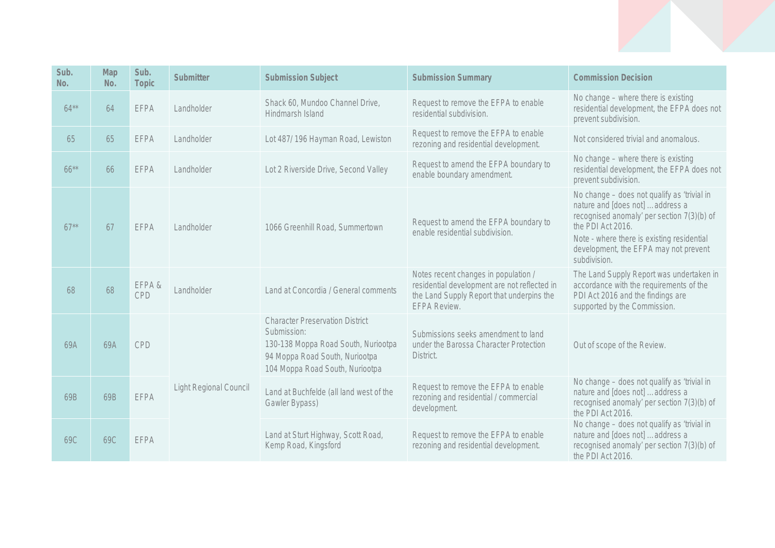| Sub.<br>No. | Map<br>No. | Sub.<br><b>Topic</b> | Submitter              | <b>Submission Subject</b>                                                                                                                                         | <b>Submission Summary</b>                                                                                                                                | <b>Commission Decision</b>                                                                                                                                                                                                                               |
|-------------|------------|----------------------|------------------------|-------------------------------------------------------------------------------------------------------------------------------------------------------------------|----------------------------------------------------------------------------------------------------------------------------------------------------------|----------------------------------------------------------------------------------------------------------------------------------------------------------------------------------------------------------------------------------------------------------|
| $64***$     | 64         | EFPA                 | Landholder             | Shack 60, Mundoo Channel Drive,<br>Hindmarsh Island                                                                                                               | Request to remove the EFPA to enable<br>residential subdivision.                                                                                         | No change - where there is existing<br>residential development, the EFPA does not<br>prevent subdivision.                                                                                                                                                |
| 65          | 65         | EFPA                 | Landholder             | Lot 487/196 Hayman Road, Lewiston                                                                                                                                 | Request to remove the EFPA to enable<br>rezoning and residential development.                                                                            | Not considered trivial and anomalous.                                                                                                                                                                                                                    |
| $66***$     | 66         | EFPA                 | Landholder             | Lot 2 Riverside Drive, Second Valley                                                                                                                              | Request to amend the EFPA boundary to<br>enable boundary amendment.                                                                                      | No change - where there is existing<br>residential development, the EFPA does not<br>prevent subdivision.                                                                                                                                                |
| $67**$      | 67         | EFPA                 | Landholder             | 1066 Greenhill Road, Summertown                                                                                                                                   | Request to amend the EFPA boundary to<br>enable residential subdivision.                                                                                 | No change - does not qualify as 'trivial in<br>nature and [does not] address a<br>recognised anomaly' per section 7(3)(b) of<br>the PDI Act 2016.<br>Note - where there is existing residential<br>development, the EFPA may not prevent<br>subdivision. |
| 68          | 68         | EFPA&<br>CPD         | Landholder             | Land at Concordia / General comments                                                                                                                              | Notes recent changes in population /<br>residential development are not reflected in<br>the Land Supply Report that underpins the<br><b>EFPA Review.</b> | The Land Supply Report was undertaken in<br>accordance with the requirements of the<br>PDI Act 2016 and the findings are<br>supported by the Commission.                                                                                                 |
| 69A         | 69A        | CPD                  |                        | <b>Character Preservation District</b><br>Submission:<br>130-138 Moppa Road South, Nuriootpa<br>94 Moppa Road South, Nuriootpa<br>104 Moppa Road South, Nuriootpa | Submissions seeks amendment to land<br>under the Barossa Character Protection<br>District.                                                               | Out of scope of the Review.                                                                                                                                                                                                                              |
| 69B         | 69B        | <b>EFPA</b>          | Light Regional Council | Land at Buchfelde (all land west of the<br>Gawler Bypass)                                                                                                         | Request to remove the EFPA to enable<br>rezoning and residential / commercial<br>development.                                                            | No change - does not qualify as 'trivial in<br>nature and [does not] address a<br>recognised anomaly' per section 7(3)(b) of<br>the PDI Act 2016.                                                                                                        |
| 69C         | 69C        | <b>EFPA</b>          |                        | Land at Sturt Highway, Scott Road,<br>Kemp Road, Kingsford                                                                                                        | Request to remove the EFPA to enable<br>rezoning and residential development.                                                                            | No change - does not qualify as 'trivial in<br>nature and [does not] address a<br>recognised anomaly' per section 7(3)(b) of<br>the PDI Act 2016.                                                                                                        |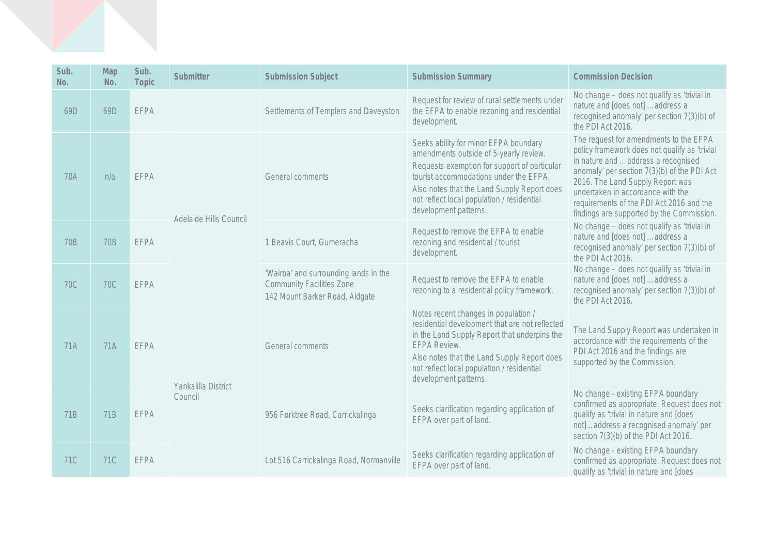| Sub.<br>No. | <b>Map</b><br>No. | Sub.<br><b>Topic</b> | Submitter                      | <b>Submission Subject</b>                                                                                   | <b>Submission Summary</b>                                                                                                                                                                                                                                                                       | <b>Commission Decision</b>                                                                                                                                                                                                                                                                                                                     |
|-------------|-------------------|----------------------|--------------------------------|-------------------------------------------------------------------------------------------------------------|-------------------------------------------------------------------------------------------------------------------------------------------------------------------------------------------------------------------------------------------------------------------------------------------------|------------------------------------------------------------------------------------------------------------------------------------------------------------------------------------------------------------------------------------------------------------------------------------------------------------------------------------------------|
| 69D         | 69D               | EFPA                 |                                | Settlements of Templers and Daveyston                                                                       | Request for review of rural settlements under<br>the EFPA to enable rezoning and residential<br>development.                                                                                                                                                                                    | No change - does not qualify as 'trivial in<br>nature and [does not] address a<br>recognised anomaly per section 7(3)(b) of<br>the PDI Act 2016.                                                                                                                                                                                               |
| <b>70A</b>  | n/a               | EFPA                 | Adelaide Hills Council         | General comments                                                                                            | Seeks ability for minor EFPA boundary<br>amendments outside of 5-yearly review.<br>Requests exemption for support of particular<br>tourist accommodations under the EFPA.<br>Also notes that the Land Supply Report does<br>not reflect local population / residential<br>development patterns. | The request for amendments to the EFPA<br>policy framework does not qualify as 'trivial<br>in nature and address a recognised<br>anomaly' per section 7(3)(b) of the PDI Act<br>2016. The Land Supply Report was<br>undertaken in accordance with the<br>requirements of the PDI Act 2016 and the<br>findings are supported by the Commission. |
| <b>70B</b>  | <b>70B</b>        | EFPA                 |                                | 1 Beavis Court, Gumeracha                                                                                   | Request to remove the EFPA to enable<br>rezoning and residential / tourist<br>development.                                                                                                                                                                                                      | No change - does not qualify as 'trivial in<br>nature and [does not] address a<br>recognised anomaly' per section 7(3)(b) of<br>the PDI Act 2016.                                                                                                                                                                                              |
| <b>70C</b>  | <b>70C</b>        | EFPA                 |                                | 'Wairoa' and surrounding lands in the<br><b>Community Facilities Zone</b><br>142 Mount Barker Road, Aldgate | Request to remove the EFPA to enable<br>rezoning to a residential policy framework.                                                                                                                                                                                                             | No change - does not qualify as 'trivial in<br>nature and [does not] address a<br>recognised anomaly' per section 7(3)(b) of<br>the PDI Act 2016.                                                                                                                                                                                              |
| 71A         | 71A               | EFPA                 | Yankalilla District<br>Council | General comments                                                                                            | Notes recent changes in population /<br>residential development that are not reflected<br>in the Land Supply Report that underpins the<br><b>EFPA Review.</b><br>Also notes that the Land Supply Report does<br>not reflect local population / residential<br>development patterns.             | The Land Supply Report was undertaken in<br>accordance with the requirements of the<br>PDI Act 2016 and the findings are<br>supported by the Commission.                                                                                                                                                                                       |
| 71B         | 71B               | EFPA                 |                                | 956 Forktree Road, Carrickalinga                                                                            | Seeks clarification regarding application of<br>EFPA over part of land.                                                                                                                                                                                                                         | No change - existing EFPA boundary<br>confirmed as appropriate. Request does not<br>qualify as 'trivial in nature and [does<br>not]address a recognised anomaly' per<br>section 7(3)(b) of the PDI Act 2016.                                                                                                                                   |
| <b>71C</b>  | <b>71C</b>        | <b>EFPA</b>          |                                | Lot 516 Carrickalinga Road, Normanville                                                                     | Seeks clarification regarding application of<br>EFPA over part of land.                                                                                                                                                                                                                         | No change - existing EFPA boundary<br>confirmed as appropriate. Request does not<br>qualify as 'trivial in nature and [does                                                                                                                                                                                                                    |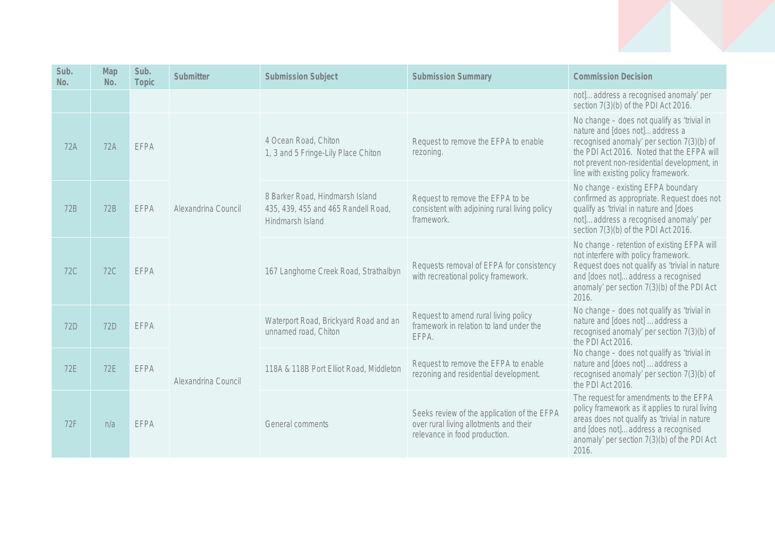| Sub.<br>No. | Map<br>No. | Sub.<br><b>Topic</b> | Submitter           | <b>Submission Subject</b>                                                                  | <b>Submission Summary</b>                                                                                              | <b>Commission Decision</b>                                                                                                                                                                                                                                       |
|-------------|------------|----------------------|---------------------|--------------------------------------------------------------------------------------------|------------------------------------------------------------------------------------------------------------------------|------------------------------------------------------------------------------------------------------------------------------------------------------------------------------------------------------------------------------------------------------------------|
|             |            |                      |                     |                                                                                            |                                                                                                                        | not]address a recognised anomaly' per<br>section 7(3)(b) of the PDI Act 2016.                                                                                                                                                                                    |
| 72A         | 72A        | <b>EFPA</b>          |                     | 4 Ocean Road, Chiton<br>1, 3 and 5 Fringe-Lily Place Chiton                                | Request to remove the EFPA to enable<br>rezoning.                                                                      | No change - does not qualify as 'trivial in<br>nature and [does not]address a<br>recognised anomaly' per section 7(3)(b) of<br>the PDI Act 2016. Noted that the EFPA will<br>not prevent non-residential development, in<br>line with existing policy framework. |
| 72B         | 72B        | <b>EFPA</b>          | Alexandrina Council | 8 Barker Road, Hindmarsh Island<br>435, 439, 455 and 465 Randell Road,<br>Hindmarsh Island | Request to remove the EFPA to be<br>consistent with adjoining rural living policy<br>framework.                        | No change - existing EFPA boundary<br>confirmed as appropriate. Request does not<br>qualify as 'trivial in nature and [does<br>not]address a recognised anomaly' per<br>section 7(3)(b) of the PDI Act 2016.                                                     |
| <b>72C</b>  | 72C        | EFPA                 |                     | 167 Langhorne Creek Road, Strathalbyn                                                      | Requests removal of EFPA for consistency<br>with recreational policy framework.                                        | No change - retention of existing EFPA will<br>not interfere with policy framework.<br>Request does not qualify as 'trivial in nature<br>and [does not]address a recognised<br>anomaly' per section 7(3)(b) of the PDI Act<br>2016.                              |
| 72D         | 72D        | EFPA                 | Alexandrina Council | Waterport Road, Brickyard Road and an<br>unnamed road, Chiton                              | Request to amend rural living policy<br>framework in relation to land under the<br>EFPA.                               | No change - does not qualify as 'trivial in<br>nature and [does not] address a<br>recognised anomaly' per section 7(3)(b) of<br>the PDI Act 2016.                                                                                                                |
| <b>72E</b>  | 72E        | EFPA                 |                     | 118A & 118B Port Elliot Road, Middleton                                                    | Request to remove the EFPA to enable<br>rezoning and residential development.                                          | No change - does not qualify as 'trivial in<br>nature and [does not] address a<br>recognised anomaly' per section 7(3)(b) of<br>the PDI Act 2016.                                                                                                                |
| 72F         | n/a        | <b>EFPA</b>          |                     | General comments                                                                           | Seeks review of the application of the EFPA<br>over rural living allotments and their<br>relevance in food production. | The request for amendments to the EFPA<br>policy framework as it applies to rural living<br>areas does not qualify as 'trivial in nature<br>and [does not]address a recognised<br>anomaly' per section 7(3)(b) of the PDI Act<br>2016.                           |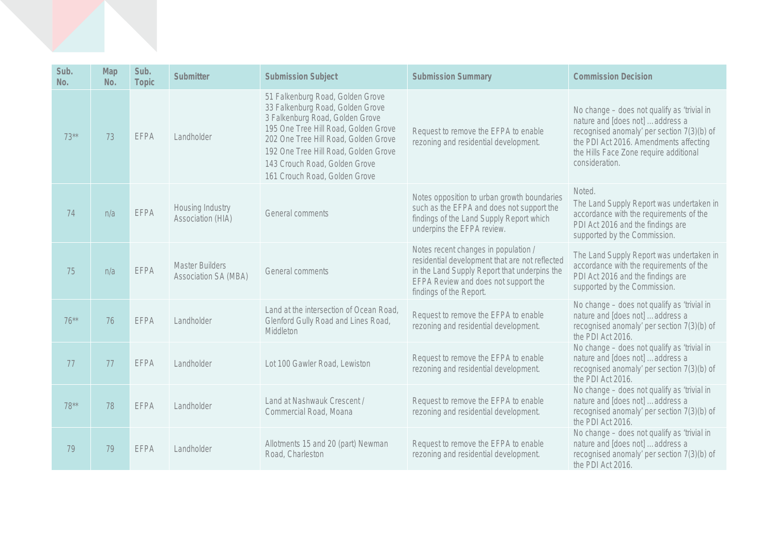| Sub.<br>No. | Map<br>No. | Sub.<br><b>Topic</b> | Submitter                                      | <b>Submission Subject</b>                                                                                                                                                                                                                                                                         | <b>Submission Summary</b>                                                                                                                                                                                 | <b>Commission Decision</b>                                                                                                                                                                                                         |
|-------------|------------|----------------------|------------------------------------------------|---------------------------------------------------------------------------------------------------------------------------------------------------------------------------------------------------------------------------------------------------------------------------------------------------|-----------------------------------------------------------------------------------------------------------------------------------------------------------------------------------------------------------|------------------------------------------------------------------------------------------------------------------------------------------------------------------------------------------------------------------------------------|
| $73***$     | 73         | EFPA                 | Landholder                                     | 51 Falkenburg Road, Golden Grove<br>33 Falkenburg Road, Golden Grove<br>3 Falkenburg Road, Golden Grove<br>195 One Tree Hill Road, Golden Grove<br>202 One Tree Hill Road, Golden Grove<br>192 One Tree Hill Road, Golden Grove<br>143 Crouch Road, Golden Grove<br>161 Crouch Road, Golden Grove | Request to remove the EFPA to enable<br>rezoning and residential development.                                                                                                                             | No change - does not qualify as 'trivial in<br>nature and [does not] address a<br>recognised anomaly' per section 7(3)(b) of<br>the PDI Act 2016. Amendments affecting<br>the Hills Face Zone require additional<br>consideration. |
| 74          | n/a        | EFPA                 | Housing Industry<br>Association (HIA)          | General comments                                                                                                                                                                                                                                                                                  | Notes opposition to urban growth boundaries<br>such as the EFPA and does not support the<br>findings of the Land Supply Report which<br>underpins the EFPA review.                                        | Noted.<br>The Land Supply Report was undertaken in<br>accordance with the requirements of the<br>PDI Act 2016 and the findings are<br>supported by the Commission.                                                                 |
| 75          | n/a        | EFPA                 | <b>Master Builders</b><br>Association SA (MBA) | General comments                                                                                                                                                                                                                                                                                  | Notes recent changes in population /<br>residential development that are not reflected<br>in the Land Supply Report that underpins the<br>EFPA Review and does not support the<br>findings of the Report. | The Land Supply Report was undertaken in<br>accordance with the requirements of the<br>PDI Act 2016 and the findings are<br>supported by the Commission.                                                                           |
| $76***$     | 76         | EFPA                 | Landholder                                     | Land at the intersection of Ocean Road,<br>Glenford Gully Road and Lines Road,<br>Middleton                                                                                                                                                                                                       | Request to remove the EFPA to enable<br>rezoning and residential development.                                                                                                                             | No change - does not qualify as 'trivial in<br>nature and [does not] address a<br>recognised anomaly' per section 7(3)(b) of<br>the PDI Act 2016.                                                                                  |
| 77          | 77         | EFPA                 | Landholder                                     | Lot 100 Gawler Road, Lewiston                                                                                                                                                                                                                                                                     | Request to remove the EFPA to enable<br>rezoning and residential development.                                                                                                                             | No change - does not qualify as 'trivial in<br>nature and [does not] address a<br>recognised anomaly' per section 7(3)(b) of<br>the PDI Act 2016.                                                                                  |
| $78***$     | 78         | EFPA                 | Landholder                                     | Land at Nashwauk Crescent /<br>Commercial Road, Moana                                                                                                                                                                                                                                             | Request to remove the EFPA to enable<br>rezoning and residential development.                                                                                                                             | No change - does not qualify as 'trivial in<br>nature and [does not] address a<br>recognised anomaly' per section 7(3)(b) of<br>the PDI Act 2016.                                                                                  |
| 79          | 79         | EFPA                 | Landholder                                     | Allotments 15 and 20 (part) Newman<br>Road, Charleston                                                                                                                                                                                                                                            | Request to remove the EFPA to enable<br>rezoning and residential development.                                                                                                                             | No change - does not qualify as 'trivial in<br>nature and [does not] address a<br>recognised anomaly' per section 7(3)(b) of<br>the PDI Act 2016.                                                                                  |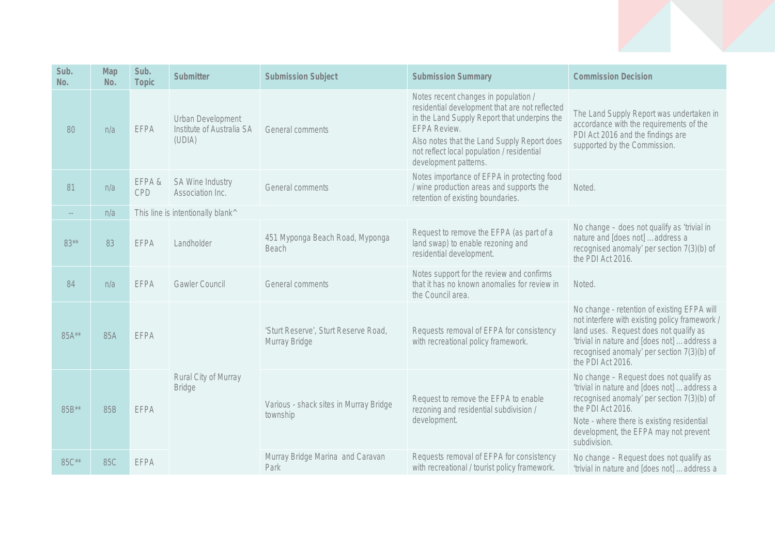| Sub.<br>No.             | Map<br>No. | Sub.<br><b>Topic</b> | Submitter                                                | <b>Submission Subject</b>                             | <b>Submission Summary</b>                                                                                                                                                                                                                                                           | <b>Commission Decision</b>                                                                                                                                                                                                                                       |
|-------------------------|------------|----------------------|----------------------------------------------------------|-------------------------------------------------------|-------------------------------------------------------------------------------------------------------------------------------------------------------------------------------------------------------------------------------------------------------------------------------------|------------------------------------------------------------------------------------------------------------------------------------------------------------------------------------------------------------------------------------------------------------------|
| 80                      | n/a        | EFPA                 | Urban Development<br>Institute of Australia SA<br>(UDIA) | General comments                                      | Notes recent changes in population /<br>residential development that are not reflected<br>in the Land Supply Report that underpins the<br><b>EFPA Review.</b><br>Also notes that the Land Supply Report does<br>not reflect local population / residential<br>development patterns. | The Land Supply Report was undertaken in<br>accordance with the requirements of the<br>PDI Act 2016 and the findings are<br>supported by the Commission.                                                                                                         |
| 81                      | n/a        | EFPA&<br>CPD         | SA Wine Industry<br>Association Inc.                     | <b>General comments</b>                               | Notes importance of EFPA in protecting food<br>/ wine production areas and supports the<br>retention of existing boundaries.                                                                                                                                                        | Noted.                                                                                                                                                                                                                                                           |
| $\mathbb{L} \mathbb{L}$ | n/a        |                      | This line is intentionally blank^                        |                                                       |                                                                                                                                                                                                                                                                                     |                                                                                                                                                                                                                                                                  |
| $83***$                 | 83         | EFPA                 | Landholder                                               | 451 Myponga Beach Road, Myponga<br>Beach              | Request to remove the EFPA (as part of a<br>land swap) to enable rezoning and<br>residential development.                                                                                                                                                                           | No change - does not qualify as 'trivial in<br>nature and [does not] address a<br>recognised anomaly' per section 7(3)(b) of<br>the PDI Act 2016.                                                                                                                |
| 84                      | n/a        | EFPA                 | <b>Gawler Council</b>                                    | <b>General comments</b>                               | Notes support for the review and confirms<br>that it has no known anomalies for review in<br>the Council area.                                                                                                                                                                      | Noted.                                                                                                                                                                                                                                                           |
| 85A**                   | 85A        | EFPA                 |                                                          | 'Sturt Reserve', Sturt Reserve Road,<br>Murray Bridge | Requests removal of EFPA for consistency<br>with recreational policy framework.                                                                                                                                                                                                     | No change - retention of existing EFPA will<br>not interfere with existing policy framework /<br>land uses. Request does not qualify as<br>'trivial in nature and [does not] address a<br>recognised anomaly' per section 7(3)(b) of<br>the PDI Act 2016.        |
| 85B**                   | 85B        | EFPA                 | Rural City of Murray<br><b>Bridge</b>                    | Various - shack sites in Murray Bridge<br>township    | Request to remove the EFPA to enable<br>rezoning and residential subdivision /<br>development.                                                                                                                                                                                      | No change - Request does not qualify as<br>'trivial in nature and [does not] address a<br>recognised anomaly' per section 7(3)(b) of<br>the PDI Act 2016.<br>Note - where there is existing residential<br>development, the EFPA may not prevent<br>subdivision. |
| 85C**                   | 85C        | EFPA                 |                                                          | Murray Bridge Marina and Caravan<br>Park              | Requests removal of EFPA for consistency<br>with recreational / tourist policy framework.                                                                                                                                                                                           | No change - Request does not qualify as<br>'trivial in nature and [does not] address a                                                                                                                                                                           |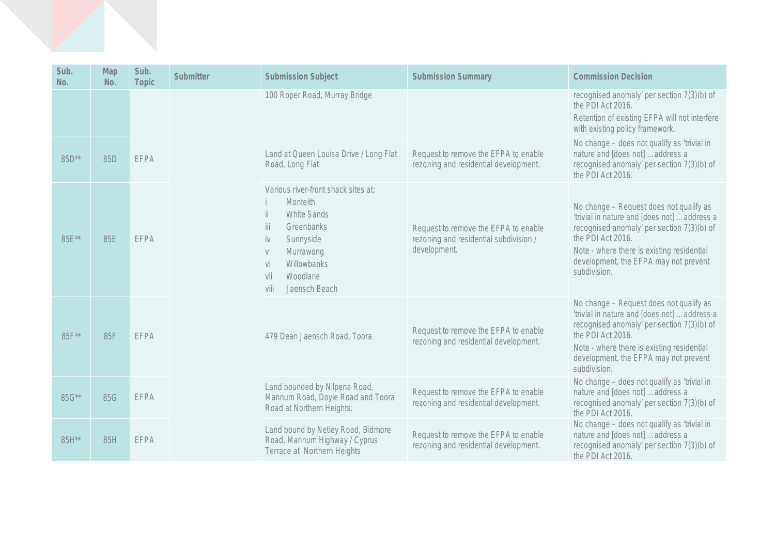| Sub.<br>No. | Map<br>No. | Sub.<br><b>Topic</b> | Submitter | <b>Submission Subject</b>                                                                                                                                                                                    | <b>Submission Summary</b>                                                                      | <b>Commission Decision</b>                                                                                                                                                                                                                                        |
|-------------|------------|----------------------|-----------|--------------------------------------------------------------------------------------------------------------------------------------------------------------------------------------------------------------|------------------------------------------------------------------------------------------------|-------------------------------------------------------------------------------------------------------------------------------------------------------------------------------------------------------------------------------------------------------------------|
|             |            |                      |           | 100 Roper Road, Murray Bridge                                                                                                                                                                                |                                                                                                | recognised anomaly' per section 7(3)(b) of<br>the PDI Act 2016.<br>Retention of existing EFPA will not interfere<br>with existing policy framework.                                                                                                               |
| 85D**       | 85D        | EFPA                 |           | Land at Queen Louisa Drive / Long Flat<br>Road, Long Flat                                                                                                                                                    | Request to remove the EFPA to enable<br>rezoning and residential development.                  | No change - does not qualify as 'trivial in<br>nature and [does not] address a<br>recognised anomaly' per section 7(3)(b) of<br>the PDI Act 2016.                                                                                                                 |
| 85E**       | 85E        | EFPA                 |           | Various river-front shack sites at:<br>Monteith<br><b>White Sands</b><br>ji<br>Greenbanks<br>-iii<br>Sunnyside<br>iv<br>Murrawong<br>$\vee$<br>Willowbanks<br>Vİ<br>Woodlane<br>vii<br>Jaensch Beach<br>viii | Request to remove the EFPA to enable<br>rezoning and residential subdivision /<br>development. | No change - Request does not qualify as<br>'trivial in nature and [does not] address a<br>recognised anomaly' per section 7(3)(b) of<br>the PDI Act 2016.<br>Note - where there is existing residential<br>development, the EFPA may not prevent<br>subdivision.  |
| 85F**       | 85F        | EFPA                 |           | 479 Dean Jaensch Road, Toora                                                                                                                                                                                 | Request to remove the EFPA to enable<br>rezoning and residential development.                  | No change - Request does not qualify as<br>'trivial in nature and [does not]  address a<br>recognised anomaly' per section 7(3)(b) of<br>the PDI Act 2016.<br>Note - where there is existing residential<br>development, the EFPA may not prevent<br>subdivision. |
| 85G**       | 85G        | EFPA                 |           | Land bounded by Nilpena Road,<br>Mannum Road, Doyle Road and Toora<br>Road at Northern Heights.                                                                                                              | Request to remove the EFPA to enable<br>rezoning and residential development.                  | No change - does not qualify as 'trivial in<br>nature and [does not] address a<br>recognised anomaly' per section 7(3)(b) of<br>the PDI Act 2016.                                                                                                                 |
| 85H**       | 85H        | EFPA                 |           | Land bound by Netley Road, Bidmore<br>Road, Mannum Highway / Cyprus<br>Terrace at Northern Heights                                                                                                           | Request to remove the EFPA to enable<br>rezoning and residential development.                  | No change - does not qualify as 'trivial in<br>nature and [does not] address a<br>recognised anomaly' per section 7(3)(b) of<br>the PDI Act 2016.                                                                                                                 |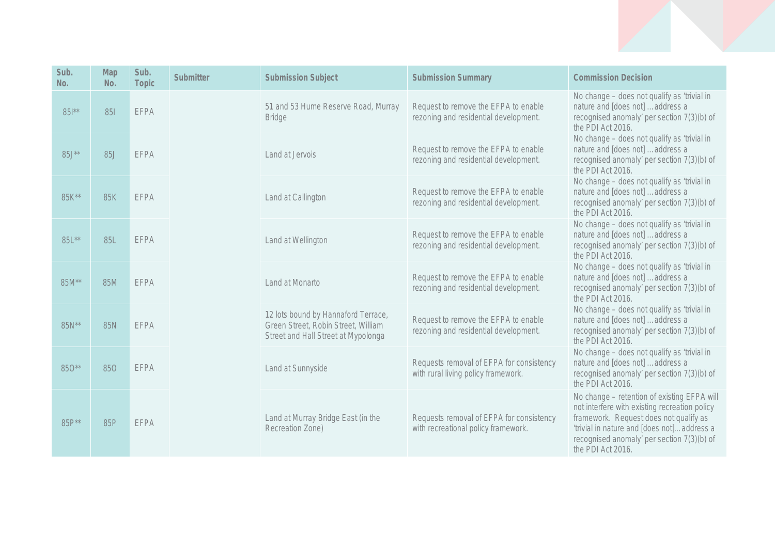| Sub.<br>No. | <b>Map</b><br>No. | Sub.<br><b>Topic</b> | Submitter | <b>Submission Subject</b>                                                                                         | <b>Submission Summary</b>                                                       | <b>Commission Decision</b>                                                                                                                                                                                                                              |
|-------------|-------------------|----------------------|-----------|-------------------------------------------------------------------------------------------------------------------|---------------------------------------------------------------------------------|---------------------------------------------------------------------------------------------------------------------------------------------------------------------------------------------------------------------------------------------------------|
| $851***$    | 851               | EFPA                 |           | 51 and 53 Hume Reserve Road, Murray<br><b>Bridge</b>                                                              | Request to remove the EFPA to enable<br>rezoning and residential development.   | No change - does not qualify as 'trivial in<br>nature and [does not] address a<br>recognised anomaly' per section 7(3)(b) of<br>the PDI Act 2016.                                                                                                       |
| $85J**$     | 85J               | EFPA                 |           | Land at Jervois                                                                                                   | Request to remove the EFPA to enable<br>rezoning and residential development.   | No change - does not qualify as 'trivial in<br>nature and [does not] address a<br>recognised anomaly' per section 7(3)(b) of<br>the PDI Act 2016.                                                                                                       |
| 85K**       | 85K               | EFPA                 |           | Land at Callington                                                                                                | Request to remove the EFPA to enable<br>rezoning and residential development.   | No change - does not qualify as 'trivial in<br>nature and [does not] address a<br>recognised anomaly' per section 7(3)(b) of<br>the PDI Act 2016.                                                                                                       |
| 85L**       | 85L               | EFPA                 |           | Land at Wellington                                                                                                | Request to remove the EFPA to enable<br>rezoning and residential development.   | No change - does not qualify as 'trivial in<br>nature and [does not] address a<br>recognised anomaly' per section 7(3)(b) of<br>the PDI Act 2016.                                                                                                       |
| 85M**       | 85M               | EFPA                 |           | Land at Monarto                                                                                                   | Request to remove the EFPA to enable<br>rezoning and residential development.   | No change - does not qualify as 'trivial in<br>nature and [does not] address a<br>recognised anomaly' per section 7(3)(b) of<br>the PDI Act 2016.                                                                                                       |
| 85N**       | 85N               | EFPA                 |           | 12 lots bound by Hannaford Terrace,<br>Green Street, Robin Street, William<br>Street and Hall Street at Mypolonga | Request to remove the EFPA to enable<br>rezoning and residential development.   | No change - does not qualify as 'trivial in<br>nature and [does not] address a<br>recognised anomaly' per section 7(3)(b) of<br>the PDI Act 2016.                                                                                                       |
| 850**       | 850               | EFPA                 |           | Land at Sunnyside                                                                                                 | Requests removal of EFPA for consistency<br>with rural living policy framework. | No change - does not qualify as 'trivial in<br>nature and [does not] address a<br>recognised anomaly' per section 7(3)(b) of<br>the PDI Act 2016.                                                                                                       |
| 85P**       | 85P               | EFPA                 |           | Land at Murray Bridge East (in the<br>Recreation Zone)                                                            | Requests removal of EFPA for consistency<br>with recreational policy framework. | No change - retention of existing EFPA will<br>not interfere with existing recreation policy<br>framework. Request does not qualify as<br>'trivial in nature and [does not]address a<br>recognised anomaly' per section 7(3)(b) of<br>the PDI Act 2016. |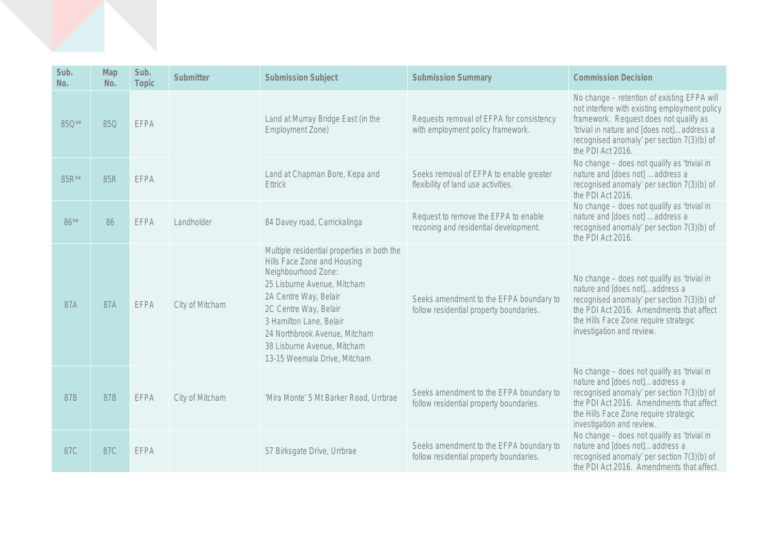| Sub.<br>No. | Map<br>No. | Sub.<br><b>Topic</b> | Submitter       | <b>Submission Subject</b>                                                                                                                                                                                                                                                                                     | <b>Submission Summary</b>                                                          | <b>Commission Decision</b>                                                                                                                                                                                                                              |
|-------------|------------|----------------------|-----------------|---------------------------------------------------------------------------------------------------------------------------------------------------------------------------------------------------------------------------------------------------------------------------------------------------------------|------------------------------------------------------------------------------------|---------------------------------------------------------------------------------------------------------------------------------------------------------------------------------------------------------------------------------------------------------|
| 85Q**       | <b>85Q</b> | EFPA                 |                 | Land at Murray Bridge East (in the<br>Employment Zone)                                                                                                                                                                                                                                                        | Requests removal of EFPA for consistency<br>with employment policy framework.      | No change - retention of existing EFPA will<br>not interfere with existing employment policy<br>framework. Request does not qualify as<br>'trivial in nature and [does not]address a<br>recognised anomaly' per section 7(3)(b) of<br>the PDI Act 2016. |
| 85R**       | 85R        | EFPA                 |                 | Land at Chapman Bore, Kepa and<br><b>Ettrick</b>                                                                                                                                                                                                                                                              | Seeks removal of EFPA to enable greater<br>flexibility of land use activities.     | No change - does not qualify as 'trivial in<br>nature and [does not] address a<br>recognised anomaly' per section 7(3)(b) of<br>the PDI Act 2016.                                                                                                       |
| $86***$     | 86         | EFPA                 | Landholder      | 84 Davey road, Carrickalinga                                                                                                                                                                                                                                                                                  | Request to remove the EFPA to enable<br>rezoning and residential development.      | No change - does not qualify as 'trivial in<br>nature and [does not] address a<br>recognised anomaly' per section 7(3)(b) of<br>the PDI Act 2016.                                                                                                       |
| 87A         | 87A        | EFPA                 | City of Mitcham | Multiple residential properties in both the<br>Hills Face Zone and Housing<br>Neighbourhood Zone:<br>25 Lisburne Avenue, Mitcham<br>2A Centre Way, Belair<br>2C Centre Way, Belair<br>3 Hamilton Lane, Belair<br>24 Northbrook Avenue, Mitcham<br>38 Lisburne Avenue, Mitcham<br>13-15 Weemala Drive, Mitcham | Seeks amendment to the EFPA boundary to<br>follow residential property boundaries. | No change - does not qualify as 'trivial in<br>nature and [does not]address a<br>recognised anomaly' per section 7(3)(b) of<br>the PDI Act 2016. Amendments that affect<br>the Hills Face Zone require strategic<br>investigation and review.           |
| 87B         | 87B        | EFPA                 | City of Mitcham | 'Mira Monte' 5 Mt Barker Road, Urrbrae                                                                                                                                                                                                                                                                        | Seeks amendment to the EFPA boundary to<br>follow residential property boundaries. | No change - does not qualify as 'trivial in<br>nature and [does not]address a<br>recognised anomaly' per section 7(3)(b) of<br>the PDI Act 2016. Amendments that affect<br>the Hills Face Zone require strategic<br>investigation and review.           |
| 87C         | 87C        | EFPA                 |                 | 57 Birksgate Drive, Urrbrae                                                                                                                                                                                                                                                                                   | Seeks amendment to the EFPA boundary to<br>follow residential property boundaries. | No change - does not qualify as 'trivial in<br>nature and [does not]address a<br>recognised anomaly' per section 7(3)(b) of<br>the PDI Act 2016. Amendments that affect                                                                                 |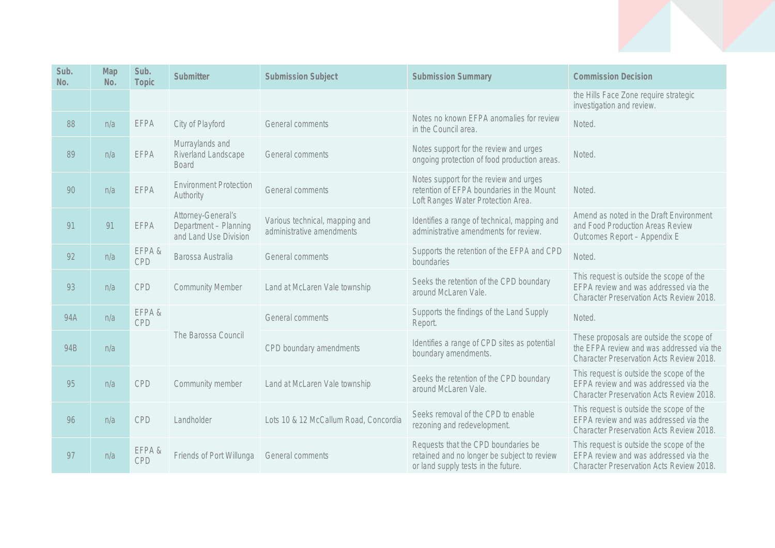| Sub.<br>No. | Map<br>No. | Sub.<br><b>Topic</b> | Submitter                                                            | <b>Submission Subject</b>                                   | <b>Submission Summary</b>                                                                                                 | <b>Commission Decision</b>                                                                                                               |
|-------------|------------|----------------------|----------------------------------------------------------------------|-------------------------------------------------------------|---------------------------------------------------------------------------------------------------------------------------|------------------------------------------------------------------------------------------------------------------------------------------|
|             |            |                      |                                                                      |                                                             |                                                                                                                           | the Hills Face Zone require strategic<br>investigation and review.                                                                       |
| 88          | n/a        | EFPA                 | City of Playford                                                     | General comments                                            | Notes no known EFPA anomalies for review<br>in the Council area.                                                          | Noted.                                                                                                                                   |
| 89          | n/a        | EFPA                 | Murraylands and<br>Riverland Landscape<br><b>Board</b>               | <b>General comments</b>                                     | Notes support for the review and urges<br>ongoing protection of food production areas.                                    | Noted.                                                                                                                                   |
| 90          | n/a        | EFPA                 | <b>Environment Protection</b><br>Authority                           | General comments                                            | Notes support for the review and urges<br>retention of EFPA boundaries in the Mount<br>Loft Ranges Water Protection Area. | Noted.                                                                                                                                   |
| 91          | 91         | EFPA                 | Attorney-General's<br>Department - Planning<br>and Land Use Division | Various technical, mapping and<br>administrative amendments | Identifies a range of technical, mapping and<br>administrative amendments for review.                                     | Amend as noted in the Draft Environment<br>and Food Production Areas Review<br>Outcomes Report - Appendix E                              |
| 92          | n/a        | EFPA&<br>CPD         | Barossa Australia                                                    | General comments                                            | Supports the retention of the EFPA and CPD<br>boundaries                                                                  | Noted.                                                                                                                                   |
| 93          | n/a        | CPD                  | <b>Community Member</b>                                              | Land at McLaren Vale township                               | Seeks the retention of the CPD boundary<br>around McLaren Vale.                                                           | This request is outside the scope of the<br>EFPA review and was addressed via the<br><b>Character Preservation Acts Review 2018.</b>     |
| <b>94A</b>  | n/a        | EFPA&<br>CPD         |                                                                      | General comments                                            | Supports the findings of the Land Supply<br>Report.                                                                       | Noted.                                                                                                                                   |
| <b>94B</b>  | n/a        |                      | The Barossa Council                                                  | CPD boundary amendments                                     | Identifies a range of CPD sites as potential<br>boundary amendments.                                                      | These proposals are outside the scope of<br>the EFPA review and was addressed via the<br><b>Character Preservation Acts Review 2018.</b> |
| 95          | n/a        | CPD                  | Community member                                                     | Land at McLaren Vale township                               | Seeks the retention of the CPD boundary<br>around McLaren Vale.                                                           | This request is outside the scope of the<br>EFPA review and was addressed via the<br><b>Character Preservation Acts Review 2018.</b>     |
| 96          | n/a        | CPD                  | Landholder                                                           | Lots 10 & 12 McCallum Road, Concordia                       | Seeks removal of the CPD to enable<br>rezoning and redevelopment.                                                         | This request is outside the scope of the<br>EFPA review and was addressed via the<br><b>Character Preservation Acts Review 2018.</b>     |
| 97          | n/a        | EFPA&<br>CPD         | Friends of Port Willunga                                             | General comments                                            | Requests that the CPD boundaries be<br>retained and no longer be subject to review<br>or land supply tests in the future. | This request is outside the scope of the<br>EFPA review and was addressed via the<br><b>Character Preservation Acts Review 2018.</b>     |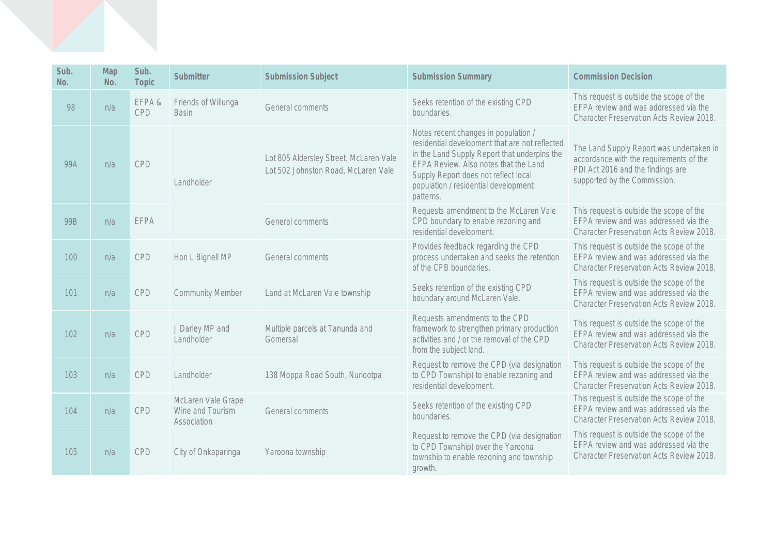| Sub.<br>No. | Map<br>No. | Sub.<br><b>Topic</b> | Submitter                                             | <b>Submission Subject</b>                                                     | <b>Submission Summary</b>                                                                                                                                                                                                                                                    | <b>Commission Decision</b>                                                                                                                               |
|-------------|------------|----------------------|-------------------------------------------------------|-------------------------------------------------------------------------------|------------------------------------------------------------------------------------------------------------------------------------------------------------------------------------------------------------------------------------------------------------------------------|----------------------------------------------------------------------------------------------------------------------------------------------------------|
| 98          | n/a        | EFPA&<br>CPD         | Friends of Willunga<br><b>Basin</b>                   | General comments                                                              | Seeks retention of the existing CPD<br>boundaries.                                                                                                                                                                                                                           | This request is outside the scope of the<br>EFPA review and was addressed via the<br><b>Character Preservation Acts Review 2018.</b>                     |
| 99A         | n/a        | CPD                  | Landholder                                            | Lot 805 Aldersley Street, McLaren Vale<br>Lot 502 Johnston Road, McLaren Vale | Notes recent changes in population /<br>residential development that are not reflected<br>in the Land Supply Report that underpins the<br>EFPA Review. Also notes that the Land<br>Supply Report does not reflect local<br>population / residential development<br>patterns. | The Land Supply Report was undertaken in<br>accordance with the requirements of the<br>PDI Act 2016 and the findings are<br>supported by the Commission. |
| 99B         | n/a        | EFPA                 |                                                       | General comments                                                              | Requests amendment to the McLaren Vale<br>CPD boundary to enable rezoning and<br>residential development.                                                                                                                                                                    | This request is outside the scope of the<br>EFPA review and was addressed via the<br><b>Character Preservation Acts Review 2018.</b>                     |
| 100         | n/a        | CPD                  | Hon L Bignell MP                                      | General comments                                                              | Provides feedback regarding the CPD<br>process undertaken and seeks the retention<br>of the CPB boundaries.                                                                                                                                                                  | This request is outside the scope of the<br>EFPA review and was addressed via the<br><b>Character Preservation Acts Review 2018.</b>                     |
| 101         | n/a        | CPD                  | <b>Community Member</b>                               | Land at McLaren Vale township                                                 | Seeks retention of the existing CPD<br>boundary around McLaren Vale.                                                                                                                                                                                                         | This request is outside the scope of the<br>EFPA review and was addressed via the<br><b>Character Preservation Acts Review 2018.</b>                     |
| 102         | n/a        | CPD                  | J Darley MP and<br>Landholder                         | Multiple parcels at Tanunda and<br>Gomersal                                   | Requests amendments to the CPD<br>framework to strengthen primary production<br>activities and / or the removal of the CPD<br>from the subject land.                                                                                                                         | This request is outside the scope of the<br>EFPA review and was addressed via the<br><b>Character Preservation Acts Review 2018.</b>                     |
| 103         | n/a        | CPD                  | Landholder                                            | 138 Moppa Road South, Nuriootpa                                               | Request to remove the CPD (via designation<br>to CPD Township) to enable rezoning and<br>residential development.                                                                                                                                                            | This request is outside the scope of the<br>EFPA review and was addressed via the<br><b>Character Preservation Acts Review 2018.</b>                     |
| 104         | n/a        | CPD                  | McLaren Vale Grape<br>Wine and Tourism<br>Association | General comments                                                              | Seeks retention of the existing CPD<br>boundaries.                                                                                                                                                                                                                           | This request is outside the scope of the<br>EFPA review and was addressed via the<br><b>Character Preservation Acts Review 2018.</b>                     |
| 105         | n/a        | CPD                  | City of Onkaparinga                                   | Yaroona township                                                              | Request to remove the CPD (via designation<br>to CPD Township) over the Yaroona<br>township to enable rezoning and township<br>growth.                                                                                                                                       | This request is outside the scope of the<br>EFPA review and was addressed via the<br><b>Character Preservation Acts Review 2018.</b>                     |